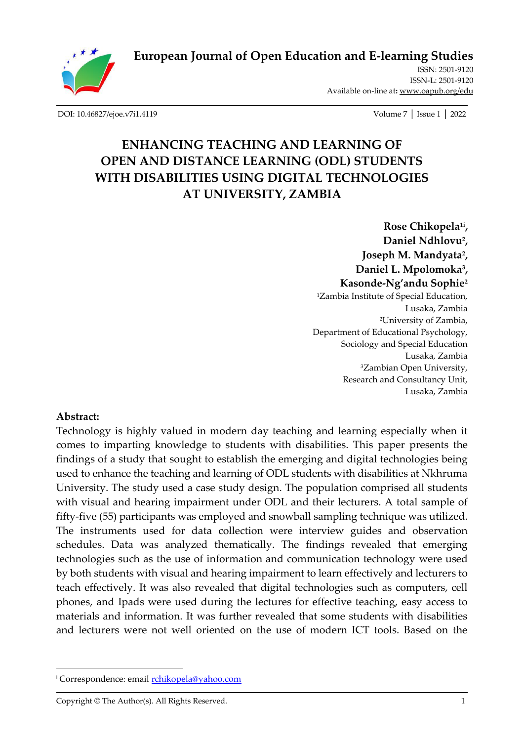

**[European Journal of Open Education and E-learning Studies](http://oapub.org/edu/index.php/ejoe)**

[ISSN: 2501-9120](http://oapub.org/edu/index.php/ejes) [ISSN-L:](http://oapub.org/edu/index.php/ejes) 2501-9120 Available on-line at**:** [www.oapub.org/edu](http://www.oapub.org/edu)

[DOI: 10.46827/ejoe.v7i1.4119](http://dx.doi.org/10.46827/ejoe.v7i1.4119) Volume 7 │ Issue 1 │ 2022

# **ENHANCING TEACHING AND LEARNING OF OPEN AND DISTANCE LEARNING (ODL) STUDENTS WITH DISABILITIES USING DIGITAL TECHNOLOGIES AT UNIVERSITY, ZAMBIA**

**Rose Chikopela1i , Daniel Ndhlovu<sup>2</sup> , Joseph M. Mandyata<sup>2</sup> , Daniel L. Mpolomoka<sup>3</sup> , Kasonde-Ng'andu Sophie<sup>2</sup>** <sup>1</sup>Zambia Institute of Special Education, Lusaka, Zambia <sup>2</sup>University of Zambia, Department of Educational Psychology, Sociology and Special Education Lusaka, Zambia <sup>3</sup>Zambian Open University, Research and Consultancy Unit, Lusaka, Zambia

#### **Abstract:**

Technology is highly valued in modern day teaching and learning especially when it comes to imparting knowledge to students with disabilities. This paper presents the findings of a study that sought to establish the emerging and digital technologies being used to enhance the teaching and learning of ODL students with disabilities at Nkhruma University. The study used a case study design. The population comprised all students with visual and hearing impairment under ODL and their lecturers. A total sample of fifty-five (55) participants was employed and snowball sampling technique was utilized. The instruments used for data collection were interview guides and observation schedules. Data was analyzed thematically. The findings revealed that emerging technologies such as the use of information and communication technology were used by both students with visual and hearing impairment to learn effectively and lecturers to teach effectively. It was also revealed that digital technologies such as computers, cell phones, and Ipads were used during the lectures for effective teaching, easy access to materials and information. It was further revealed that some students with disabilities and lecturers were not well oriented on the use of modern ICT tools. Based on the

<sup>&</sup>lt;sup>i</sup> Correspondence: email **rchikopela@yahoo.com** 

Copyright © The Author(s). All Rights Reserved. 1 1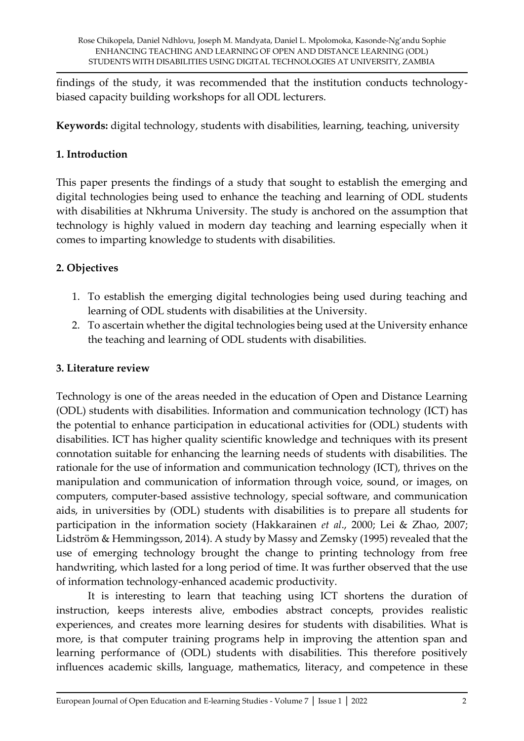findings of the study, it was recommended that the institution conducts technologybiased capacity building workshops for all ODL lecturers.

**Keywords:** digital technology, students with disabilities, learning, teaching, university

#### **1. Introduction**

This paper presents the findings of a study that sought to establish the emerging and digital technologies being used to enhance the teaching and learning of ODL students with disabilities at Nkhruma University. The study is anchored on the assumption that technology is highly valued in modern day teaching and learning especially when it comes to imparting knowledge to students with disabilities.

### **2. Objectives**

- 1. To establish the emerging digital technologies being used during teaching and learning of ODL students with disabilities at the University.
- 2. To ascertain whether the digital technologies being used at the University enhance the teaching and learning of ODL students with disabilities.

#### **3. Literature review**

Technology is one of the areas needed in the education of Open and Distance Learning (ODL) students with disabilities. Information and communication technology (ICT) has the potential to enhance participation in educational activities for (ODL) students with disabilities. ICT has higher quality scientific knowledge and techniques with its present connotation suitable for enhancing the learning needs of students with disabilities. The rationale for the use of information and communication technology (ICT), thrives on the manipulation and communication of information through voice, sound, or images, on computers, computer-based assistive technology, special software, and communication aids, in universities by (ODL) students with disabilities is to prepare all students for participation in the information society (Hakkarainen *et al*., 2000; Lei & Zhao, 2007; Lidström & Hemmingsson, 2014). A study by Massy and Zemsky (1995) revealed that the use of emerging technology brought the change to printing technology from free handwriting, which lasted for a long period of time. It was further observed that the use of information technology-enhanced academic productivity.

It is interesting to learn that teaching using ICT shortens the duration of instruction, keeps interests alive, embodies abstract concepts, provides realistic experiences, and creates more learning desires for students with disabilities. What is more, is that computer training programs help in improving the attention span and learning performance of (ODL) students with disabilities. This therefore positively influences academic skills, language, mathematics, literacy, and competence in these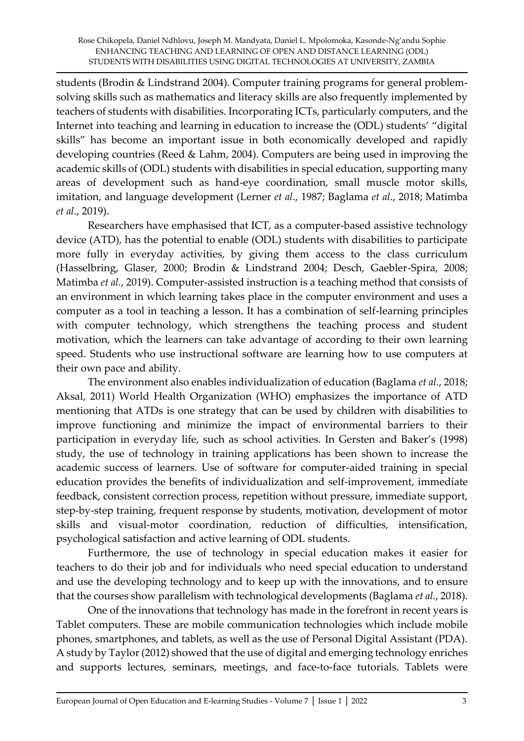students (Brodin & Lindstrand 2004). Computer training programs for general problemsolving skills such as mathematics and literacy skills are also frequently implemented by teachers of students with disabilities. Incorporating ICTs, particularly computers, and the Internet into teaching and learning in education to increase the (ODL) students' "digital skills" has become an important issue in both economically developed and rapidly developing countries (Reed & Lahm, 2004). Computers are being used in improving the academic skills of (ODL) students with disabilities in special education, supporting many areas of development such as hand-eye coordination, small muscle motor skills, imitation, and language development (Lerner *et al*., 1987; Baglama *et al*., 2018; Matimba *et al.*, 2019).

Researchers have emphasised that ICT, as a computer-based assistive technology device (ATD), has the potential to enable (ODL) students with disabilities to participate more fully in everyday activities, by giving them access to the class curriculum (Hasselbring, Glaser, 2000; Brodin & Lindstrand 2004; Desch, Gaebler-Spira, 2008; Matimba *et al.*, 2019). Computer-assisted instruction is a teaching method that consists of an environment in which learning takes place in the computer environment and uses a computer as a tool in teaching a lesson. It has a combination of self-learning principles with computer technology, which strengthens the teaching process and student motivation, which the learners can take advantage of according to their own learning speed. Students who use instructional software are learning how to use computers at their own pace and ability.

The environment also enables individualization of education (Baglama *et al.*, 2018; Aksal, 2011) World Health Organization (WHO) emphasizes the importance of ATD mentioning that ATDs is one strategy that can be used by children with disabilities to improve functioning and minimize the impact of environmental barriers to their participation in everyday life, such as school activities. In Gersten and Baker's (1998) study, the use of technology in training applications has been shown to increase the academic success of learners. Use of software for computer-aided training in special education provides the benefits of individualization and self-improvement, immediate feedback, consistent correction process, repetition without pressure, immediate support, step-by-step training, frequent response by students, motivation, development of motor skills and visual-motor coordination, reduction of difficulties, intensification, psychological satisfaction and active learning of ODL students.

Furthermore, the use of technology in special education makes it easier for teachers to do their job and for individuals who need special education to understand and use the developing technology and to keep up with the innovations, and to ensure that the courses show parallelism with technological developments (Baglama *et al.*, 2018).

One of the innovations that technology has made in the forefront in recent years is Tablet computers. These are mobile communication technologies which include mobile phones, smartphones, and tablets, as well as the use of Personal Digital Assistant (PDA). A study by Taylor (2012) showed that the use of digital and emerging technology enriches and supports lectures, seminars, meetings, and face-to-face tutorials. Tablets were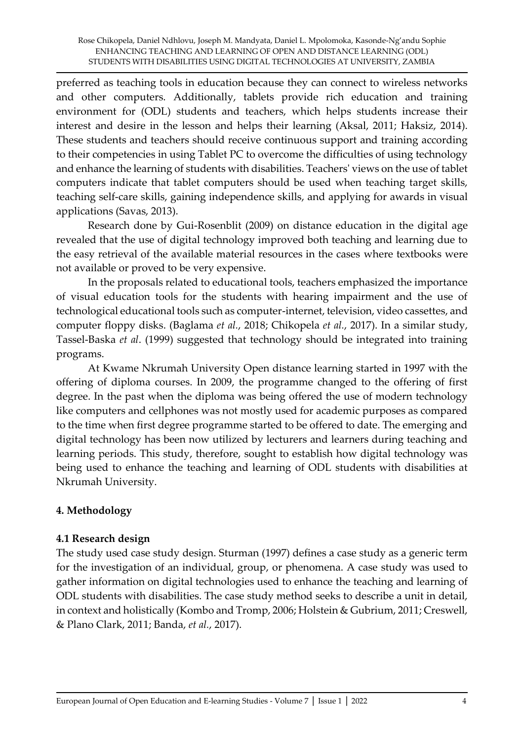preferred as teaching tools in education because they can connect to wireless networks and other computers. Additionally, tablets provide rich education and training environment for (ODL) students and teachers, which helps students increase their interest and desire in the lesson and helps their learning (Aksal, 2011; Haksiz, 2014). These students and teachers should receive continuous support and training according to their competencies in using Tablet PC to overcome the difficulties of using technology and enhance the learning of students with disabilities. Teachers' views on the use of tablet computers indicate that tablet computers should be used when teaching target skills, teaching self-care skills, gaining independence skills, and applying for awards in visual applications (Savas, 2013).

Research done by Gui-Rosenblit (2009) on distance education in the digital age revealed that the use of digital technology improved both teaching and learning due to the easy retrieval of the available material resources in the cases where textbooks were not available or proved to be very expensive.

In the proposals related to educational tools, teachers emphasized the importance of visual education tools for the students with hearing impairment and the use of technological educational tools such as computer-internet, television, video cassettes, and computer floppy disks. (Baglama *et al.*, 2018; Chikopela *et al.*, 2017). In a similar study, Tassel-Baska *et al*. (1999) suggested that technology should be integrated into training programs.

At Kwame Nkrumah University Open distance learning started in 1997 with the offering of diploma courses. In 2009, the programme changed to the offering of first degree. In the past when the diploma was being offered the use of modern technology like computers and cellphones was not mostly used for academic purposes as compared to the time when first degree programme started to be offered to date. The emerging and digital technology has been now utilized by lecturers and learners during teaching and learning periods. This study, therefore, sought to establish how digital technology was being used to enhance the teaching and learning of ODL students with disabilities at Nkrumah University.

### **4. Methodology**

#### **4.1 Research design**

The study used case study design. Sturman (1997) defines a case study as a generic term for the investigation of an individual, group, or phenomena. A case study was used to gather information on digital technologies used to enhance the teaching and learning of ODL students with disabilities. The case study method seeks to describe a unit in detail, in context and holistically (Kombo and Tromp, 2006; Holstein & Gubrium, 2011; Creswell, & Plano Clark, 2011; Banda, *et al.*, 2017).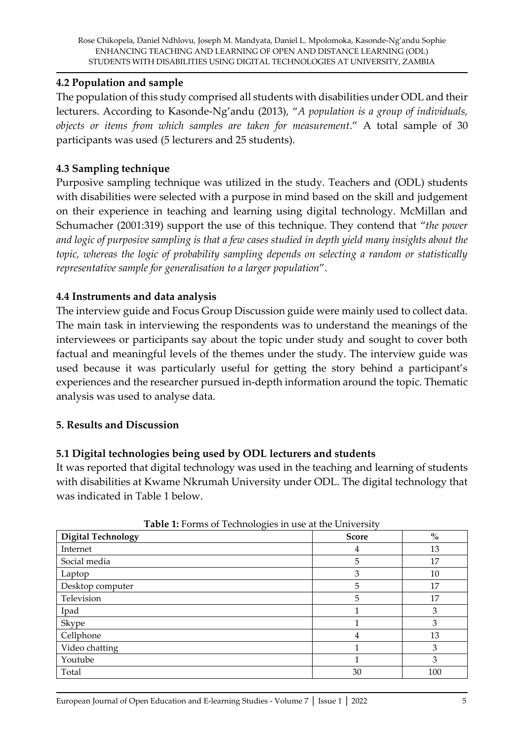#### **4.2 Population and sample**

The population of this study comprised all students with disabilities under ODL and their lecturers. According to Kasonde-Ng'andu (2013), "*A population is a group of individuals, objects or items from which samples are taken for measurement*." A total sample of 30 participants was used (5 lecturers and 25 students).

### **4.3 Sampling technique**

Purposive sampling technique was utilized in the study. Teachers and (ODL) students with disabilities were selected with a purpose in mind based on the skill and judgement on their experience in teaching and learning using digital technology. McMillan and Schumacher (2001:319) support the use of this technique. They contend that "*the power and logic of purposive sampling is that a few cases studied in depth yield many insights about the topic, whereas the logic of probability sampling depends on selecting a random or statistically representative sample for generalisation to a larger population*".

### **4.4 Instruments and data analysis**

The interview guide and Focus Group Discussion guide were mainly used to collect data. The main task in interviewing the respondents was to understand the meanings of the interviewees or participants say about the topic under study and sought to cover both factual and meaningful levels of the themes under the study. The interview guide was used because it was particularly useful for getting the story behind a participant's experiences and the researcher pursued in-depth information around the topic. Thematic analysis was used to analyse data.

#### **5. Results and Discussion**

### **5.1 Digital technologies being used by ODL lecturers and students**

It was reported that digital technology was used in the teaching and learning of students with disabilities at Kwame Nkrumah University under ODL. The digital technology that was indicated in Table 1 below.

| <b>Table 1.</b> FOLITS OF TECHNOLOGIES IN USE AT THE UTHVEISITY |              |      |
|-----------------------------------------------------------------|--------------|------|
| <b>Digital Technology</b>                                       | <b>Score</b> | $\%$ |
| Internet                                                        | 4            | 13   |
| Social media                                                    | 5            | 17   |
| Laptop                                                          | 3            | 10   |
| Desktop computer                                                | 5            | 17   |
| Television                                                      | 5            | 17   |
| Ipad                                                            |              | 3    |
| Skype                                                           |              | 3    |
| Cellphone                                                       | 4            | 13   |
| Video chatting                                                  |              | 3    |
| Youtube                                                         |              | 3    |
| Total                                                           | 30           | 100  |

**Table 1:** Forms of Technologies in use at the University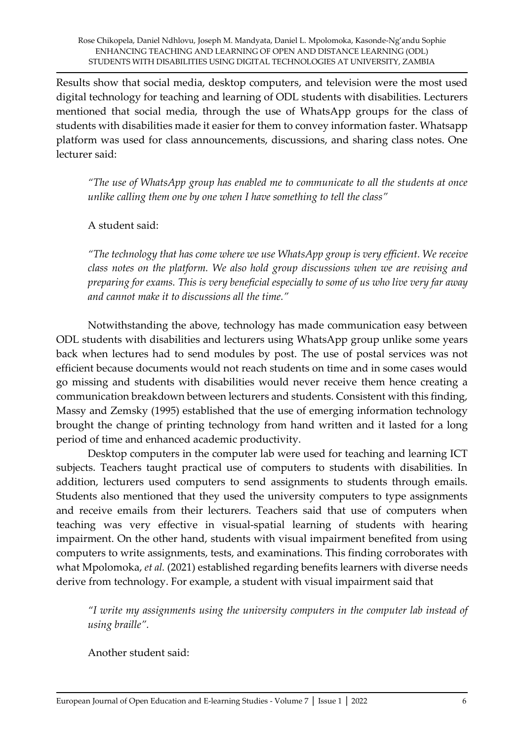Results show that social media, desktop computers, and television were the most used digital technology for teaching and learning of ODL students with disabilities. Lecturers mentioned that social media, through the use of WhatsApp groups for the class of students with disabilities made it easier for them to convey information faster. Whatsapp platform was used for class announcements, discussions, and sharing class notes. One lecturer said:

*"The use of WhatsApp group has enabled me to communicate to all the students at once unlike calling them one by one when I have something to tell the class"*

A student said:

*"The technology that has come where we use WhatsApp group is very efficient. We receive class notes on the platform. We also hold group discussions when we are revising and preparing for exams. This is very beneficial especially to some of us who live very far away and cannot make it to discussions all the time."*

Notwithstanding the above, technology has made communication easy between ODL students with disabilities and lecturers using WhatsApp group unlike some years back when lectures had to send modules by post. The use of postal services was not efficient because documents would not reach students on time and in some cases would go missing and students with disabilities would never receive them hence creating a communication breakdown between lecturers and students. Consistent with this finding, Massy and Zemsky (1995) established that the use of emerging information technology brought the change of printing technology from hand written and it lasted for a long period of time and enhanced academic productivity.

Desktop computers in the computer lab were used for teaching and learning ICT subjects. Teachers taught practical use of computers to students with disabilities. In addition, lecturers used computers to send assignments to students through emails. Students also mentioned that they used the university computers to type assignments and receive emails from their lecturers. Teachers said that use of computers when teaching was very effective in visual-spatial learning of students with hearing impairment. On the other hand, students with visual impairment benefited from using computers to write assignments, tests, and examinations. This finding corroborates with what Mpolomoka, *et al.* (2021) established regarding benefits learners with diverse needs derive from technology. For example, a student with visual impairment said that

*"I write my assignments using the university computers in the computer lab instead of using braille".* 

Another student said: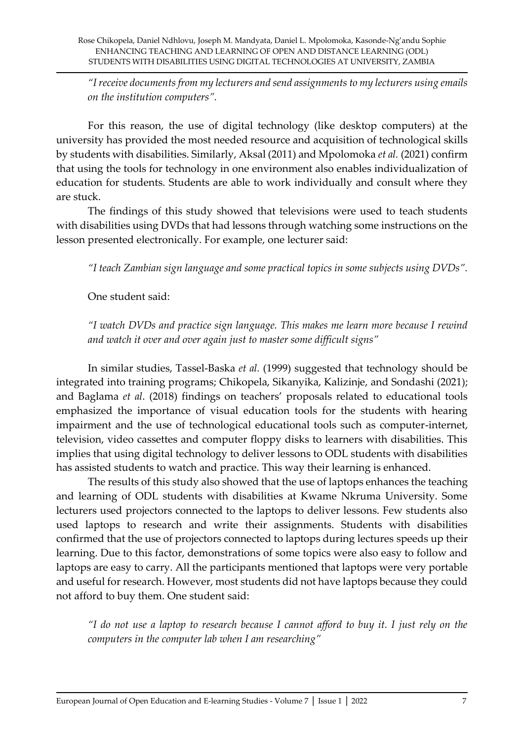*"I receive documents from my lecturers and send assignments to my lecturers using emails on the institution computers".*

For this reason, the use of digital technology (like desktop computers) at the university has provided the most needed resource and acquisition of technological skills by students with disabilities. Similarly, Aksal (2011) and Mpolomoka *et al.* (2021) confirm that using the tools for technology in one environment also enables individualization of education for students. Students are able to work individually and consult where they are stuck.

The findings of this study showed that televisions were used to teach students with disabilities using DVDs that had lessons through watching some instructions on the lesson presented electronically. For example, one lecturer said:

*"I teach Zambian sign language and some practical topics in some subjects using DVDs".*

One student said:

*"I watch DVDs and practice sign language. This makes me learn more because I rewind and watch it over and over again just to master some difficult signs"*

In similar studies, Tassel-Baska *et al.* (1999) suggested that technology should be integrated into training programs; Chikopela, Sikanyika, Kalizinje, and Sondashi (2021); and Baglama *et al*. (2018) findings on teachers' proposals related to educational tools emphasized the importance of visual education tools for the students with hearing impairment and the use of technological educational tools such as computer-internet, television, video cassettes and computer floppy disks to learners with disabilities. This implies that using digital technology to deliver lessons to ODL students with disabilities has assisted students to watch and practice. This way their learning is enhanced.

The results of this study also showed that the use of laptops enhances the teaching and learning of ODL students with disabilities at Kwame Nkruma University. Some lecturers used projectors connected to the laptops to deliver lessons. Few students also used laptops to research and write their assignments. Students with disabilities confirmed that the use of projectors connected to laptops during lectures speeds up their learning. Due to this factor, demonstrations of some topics were also easy to follow and laptops are easy to carry. All the participants mentioned that laptops were very portable and useful for research. However, most students did not have laptops because they could not afford to buy them. One student said:

*"I do not use a laptop to research because I cannot afford to buy it. I just rely on the computers in the computer lab when I am researching"*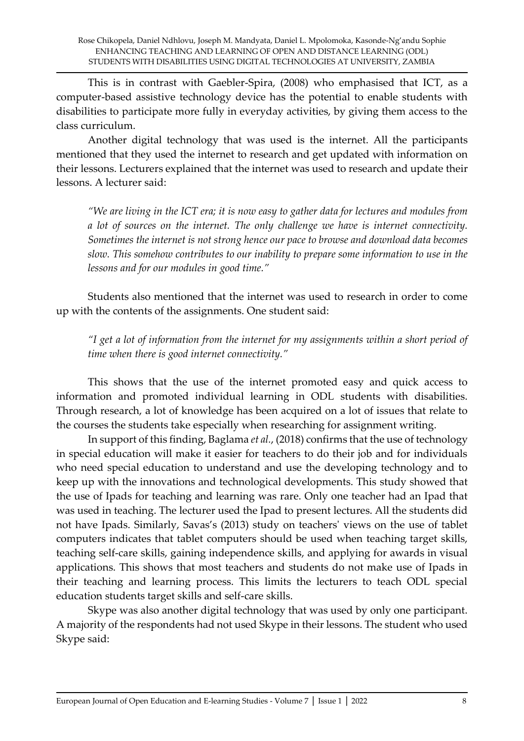This is in contrast with Gaebler-Spira, (2008) who emphasised that ICT, as a computer-based assistive technology device has the potential to enable students with disabilities to participate more fully in everyday activities, by giving them access to the class curriculum.

Another digital technology that was used is the internet. All the participants mentioned that they used the internet to research and get updated with information on their lessons. Lecturers explained that the internet was used to research and update their lessons. A lecturer said:

*"We are living in the ICT era; it is now easy to gather data for lectures and modules from a lot of sources on the internet. The only challenge we have is internet connectivity. Sometimes the internet is not strong hence our pace to browse and download data becomes slow. This somehow contributes to our inability to prepare some information to use in the lessons and for our modules in good time."*

Students also mentioned that the internet was used to research in order to come up with the contents of the assignments. One student said:

*"I get a lot of information from the internet for my assignments within a short period of time when there is good internet connectivity."*

This shows that the use of the internet promoted easy and quick access to information and promoted individual learning in ODL students with disabilities. Through research, a lot of knowledge has been acquired on a lot of issues that relate to the courses the students take especially when researching for assignment writing.

In support of this finding, Baglama *et al.*, (2018) confirms that the use of technology in special education will make it easier for teachers to do their job and for individuals who need special education to understand and use the developing technology and to keep up with the innovations and technological developments. This study showed that the use of Ipads for teaching and learning was rare. Only one teacher had an Ipad that was used in teaching. The lecturer used the Ipad to present lectures. All the students did not have Ipads. Similarly, Savas's (2013) study on teachers' views on the use of tablet computers indicates that tablet computers should be used when teaching target skills, teaching self-care skills, gaining independence skills, and applying for awards in visual applications. This shows that most teachers and students do not make use of Ipads in their teaching and learning process. This limits the lecturers to teach ODL special education students target skills and self-care skills.

Skype was also another digital technology that was used by only one participant. A majority of the respondents had not used Skype in their lessons. The student who used Skype said: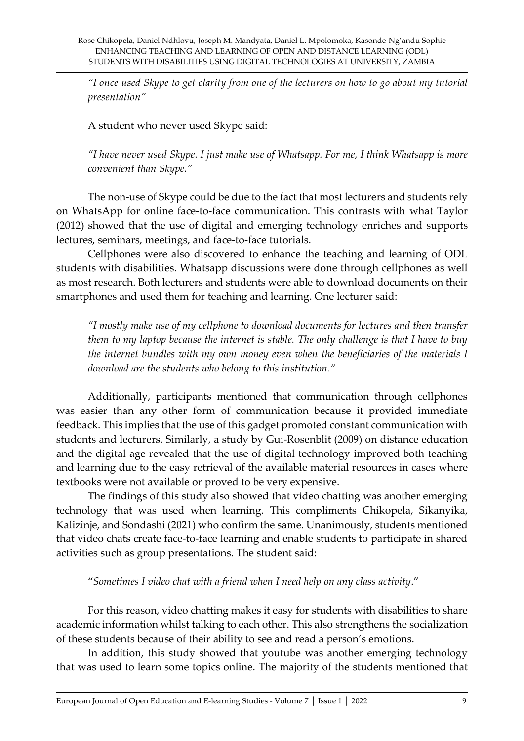*"I once used Skype to get clarity from one of the lecturers on how to go about my tutorial presentation"*

A student who never used Skype said:

*"I have never used Skype. I just make use of Whatsapp. For me, I think Whatsapp is more convenient than Skype."*

The non-use of Skype could be due to the fact that most lecturers and students rely on WhatsApp for online face-to-face communication. This contrasts with what Taylor (2012) showed that the use of digital and emerging technology enriches and supports lectures, seminars, meetings, and face-to-face tutorials.

Cellphones were also discovered to enhance the teaching and learning of ODL students with disabilities. Whatsapp discussions were done through cellphones as well as most research. Both lecturers and students were able to download documents on their smartphones and used them for teaching and learning. One lecturer said:

*"I mostly make use of my cellphone to download documents for lectures and then transfer them to my laptop because the internet is stable. The only challenge is that I have to buy the internet bundles with my own money even when the beneficiaries of the materials I download are the students who belong to this institution."*

Additionally, participants mentioned that communication through cellphones was easier than any other form of communication because it provided immediate feedback. This implies that the use of this gadget promoted constant communication with students and lecturers. Similarly, a study by Gui-Rosenblit (2009) on distance education and the digital age revealed that the use of digital technology improved both teaching and learning due to the easy retrieval of the available material resources in cases where textbooks were not available or proved to be very expensive.

The findings of this study also showed that video chatting was another emerging technology that was used when learning. This compliments Chikopela, Sikanyika, Kalizinje, and Sondashi (2021) who confirm the same. Unanimously, students mentioned that video chats create face-to-face learning and enable students to participate in shared activities such as group presentations. The student said:

"*Sometimes I video chat with a friend when I need help on any class activity*."

For this reason, video chatting makes it easy for students with disabilities to share academic information whilst talking to each other. This also strengthens the socialization of these students because of their ability to see and read a person's emotions.

In addition, this study showed that youtube was another emerging technology that was used to learn some topics online. The majority of the students mentioned that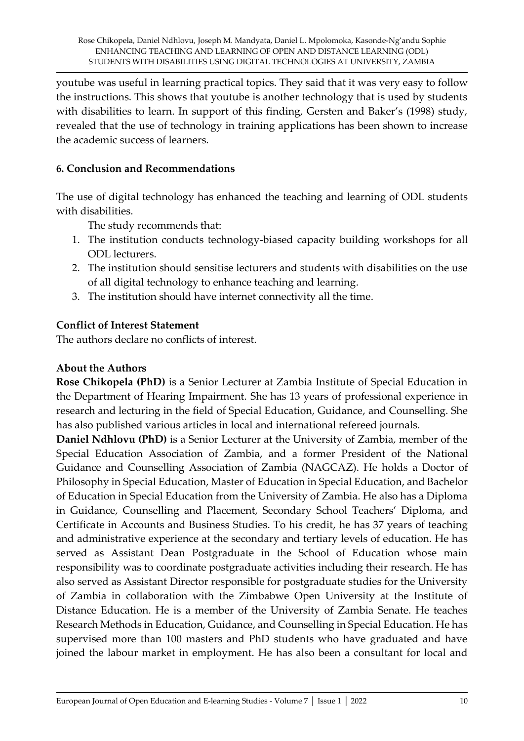youtube was useful in learning practical topics. They said that it was very easy to follow the instructions. This shows that youtube is another technology that is used by students with disabilities to learn. In support of this finding, Gersten and Baker's (1998) study, revealed that the use of technology in training applications has been shown to increase the academic success of learners.

## **6. Conclusion and Recommendations**

The use of digital technology has enhanced the teaching and learning of ODL students with disabilities.

The study recommends that:

- 1. The institution conducts technology-biased capacity building workshops for all ODL lecturers.
- 2. The institution should sensitise lecturers and students with disabilities on the use of all digital technology to enhance teaching and learning.
- 3. The institution should have internet connectivity all the time.

## **Conflict of Interest Statement**

The authors declare no conflicts of interest.

#### **About the Authors**

**Rose Chikopela (PhD)** is a Senior Lecturer at Zambia Institute of Special Education in the Department of Hearing Impairment. She has 13 years of professional experience in research and lecturing in the field of Special Education, Guidance, and Counselling. She has also published various articles in local and international refereed journals.

**Daniel Ndhlovu (PhD)** is a Senior Lecturer at the University of Zambia, member of the Special Education Association of Zambia, and a former President of the National Guidance and Counselling Association of Zambia (NAGCAZ). He holds a Doctor of Philosophy in Special Education, Master of Education in Special Education, and Bachelor of Education in Special Education from the University of Zambia. He also has a Diploma in Guidance, Counselling and Placement, Secondary School Teachers' Diploma, and Certificate in Accounts and Business Studies. To his credit, he has 37 years of teaching and administrative experience at the secondary and tertiary levels of education. He has served as Assistant Dean Postgraduate in the School of Education whose main responsibility was to coordinate postgraduate activities including their research. He has also served as Assistant Director responsible for postgraduate studies for the University of Zambia in collaboration with the Zimbabwe Open University at the Institute of Distance Education. He is a member of the University of Zambia Senate. He teaches Research Methods in Education, Guidance, and Counselling in Special Education. He has supervised more than 100 masters and PhD students who have graduated and have joined the labour market in employment. He has also been a consultant for local and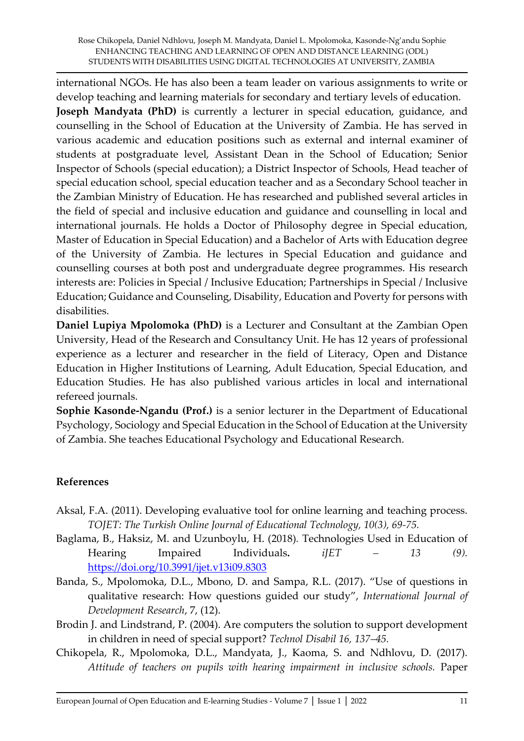international NGOs. He has also been a team leader on various assignments to write or develop teaching and learning materials for secondary and tertiary levels of education. **Joseph Mandyata (PhD)** is currently a lecturer in special education, guidance, and counselling in the School of Education at the University of Zambia. He has served in various academic and education positions such as external and internal examiner of students at postgraduate level, Assistant Dean in the School of Education; Senior Inspector of Schools (special education); a District Inspector of Schools, Head teacher of special education school, special education teacher and as a Secondary School teacher in the Zambian Ministry of Education. He has researched and published several articles in the field of special and inclusive education and guidance and counselling in local and international journals. He holds a Doctor of Philosophy degree in Special education, Master of Education in Special Education) and a Bachelor of Arts with Education degree of the University of Zambia. He lectures in Special Education and guidance and counselling courses at both post and undergraduate degree programmes. His research interests are: Policies in Special / Inclusive Education; Partnerships in Special / Inclusive Education; Guidance and Counseling, Disability, Education and Poverty for persons with disabilities.

**Daniel Lupiya Mpolomoka (PhD)** is a Lecturer and Consultant at the Zambian Open University, Head of the Research and Consultancy Unit. He has 12 years of professional experience as a lecturer and researcher in the field of Literacy, Open and Distance Education in Higher Institutions of Learning, Adult Education, Special Education, and Education Studies. He has also published various articles in local and international refereed journals.

**Sophie Kasonde-Ngandu (Prof.)** is a senior lecturer in the Department of Educational Psychology, Sociology and Special Education in the School of Education at the University of Zambia. She teaches Educational Psychology and Educational Research.

### **References**

- Aksal, F.A. (2011). Developing evaluative tool for online learning and teaching process. *TOJET: The Turkish Online Journal of Educational Technology, 10(3), 69-75.*
- Baglama, B., Haksiz, M. and Uzunboylu, H. (2018)*.* Technologies Used in Education of Hearing Impaired Individuals. *iJET* – 13 (9). <https://doi.org/10.3991/ijet.v13i09.8303>
- Banda, S., Mpolomoka, D.L., Mbono, D. and Sampa, R.L. (2017). "Use of questions in qualitative research: How questions guided our study", *International Journal of Development Research*, 7, (12).
- Brodin J. and Lindstrand, P. (2004). Are computers the solution to support development in children in need of special support? *Technol Disabil 16, 137–45.*
- Chikopela, R., Mpolomoka, D.L., Mandyata, J., Kaoma, S. and Ndhlovu, D. (2017). *Attitude of teachers on pupils with hearing impairment in inclusive schools.* Paper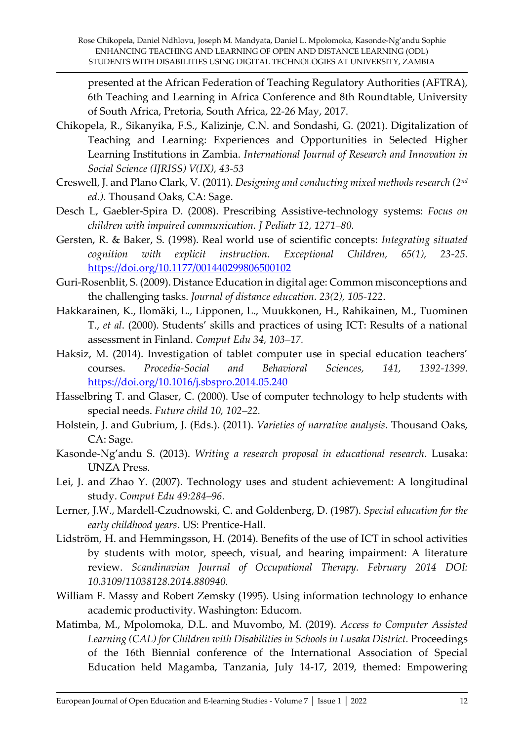presented at the African Federation of Teaching Regulatory Authorities (AFTRA), 6th Teaching and Learning in Africa Conference and 8th Roundtable, University of South Africa, Pretoria, South Africa, 22-26 May, 2017.

- Chikopela, R., Sikanyika, F.S., Kalizinje, C.N. and Sondashi, G. (2021). Digitalization of Teaching and Learning: Experiences and Opportunities in Selected Higher Learning Institutions in Zambia. *International Journal of Research and Innovation in Social Science (IJRISS) V(IX), 43-53*
- Creswell, J. and Plano Clark, V. (2011). *Designing and conducting mixed methods research (2nd ed.)*. Thousand Oaks, CA: Sage.
- Desch L, Gaebler-Spira D. (2008). Prescribing Assistive-technology systems: *Focus on children with impaired communication. J Pediatr 12, 1271–80.*
- Gersten, R. & Baker, S. (1998). Real world use of scientific concepts: *Integrating situated cognition with explicit instruction. Exceptional Children, 65(1), 23-25.*  <https://doi.org/10.1177/001440299806500102>
- Guri-Rosenblit, S. (2009). Distance Education in digital age: Common misconceptions and the challenging tasks. *Journal of distance education. 23(2), 105-122*.
- Hakkarainen, K., Ilomäki, L., Lipponen, L., Muukkonen, H., Rahikainen, M., Tuominen T., *et al*. (2000). Students' skills and practices of using ICT: Results of a national assessment in Finland. *Comput Edu 34, 103–17.*
- Haksiz, M. (2014). Investigation of tablet computer use in special education teachers' courses. *Procedia-Social and Behavioral Sciences, 141, 1392-1399.*  <https://doi.org/10.1016/j.sbspro.2014.05.240>
- Hasselbring T. and Glaser, C. (2000). Use of computer technology to help students with special needs. *Future child 10, 102–22.*
- Holstein, J. and Gubrium, J. (Eds.). (2011). *Varieties of narrative analysis*. Thousand Oaks, CA: Sage.
- Kasonde-Ng'andu S. (2013). *Writing a research proposal in educational research*. Lusaka: UNZA Press.
- Lei, J. and Zhao Y. (2007). Technology uses and student achievement: A longitudinal study. *Comput Edu 49:284–96.*
- Lerner, J.W., Mardell-Czudnowski, C. and Goldenberg, D. (1987). *Special education for the early childhood years*. US: Prentice-Hall.
- Lidström, H. and Hemmingsson, H. (2014). Benefits of the use of ICT in school activities by students with motor, speech, visual, and hearing impairment: A literature review. *Scandinavian Journal of Occupational Therapy. February 2014 DOI: 10.3109/11038128.2014.880940.*
- William F. Massy and Robert Zemsky (1995). Using information technology to enhance academic productivity. Washington: Educom.
- Matimba, M., Mpolomoka, D.L. and Muvombo, M. (2019). *Access to Computer Assisted Learning (CAL) for Children with Disabilities in Schools in Lusaka District.* Proceedings of the 16th Biennial conference of the International Association of Special Education held Magamba, Tanzania, July 14-17, 2019, themed: Empowering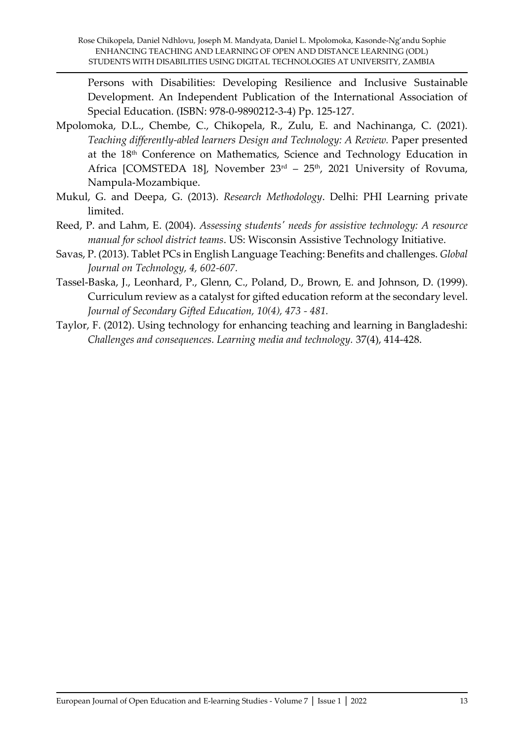Persons with Disabilities: Developing Resilience and Inclusive Sustainable Development. An Independent Publication of the International Association of Special Education. (ISBN: 978-0-9890212-3-4) Pp. 125-127.

- Mpolomoka, D.L., Chembe, C., Chikopela, R., Zulu, E. and Nachinanga, C. (2021). *Teaching differently-abled learners Design and Technology: A Review.* Paper presented at the 18th Conference on Mathematics, Science and Technology Education in Africa [COMSTEDA 18], November  $23<sup>rd</sup> - 25<sup>th</sup>$ , 2021 University of Rovuma, Nampula-Mozambique.
- Mukul, G. and Deepa, G. (2013). *Research Methodology*. Delhi: PHI Learning private limited.
- Reed, P. and Lahm, E. (2004). *Assessing students' needs for assistive technology: A resource manual for school district teams*. US: Wisconsin Assistive Technology Initiative.
- Savas, P. (2013). Tablet PCs in English Language Teaching: Benefits and challenges. *Global Journal on Technology, 4, 602-607.*
- Tassel-Baska, J., Leonhard, P., Glenn, C., Poland, D., Brown, E. and Johnson, D. (1999). Curriculum review as a catalyst for gifted education reform at the secondary level. *Journal of Secondary Gifted Education, 10(4), 473 - 481.*
- Taylor, F. (2012). Using technology for enhancing teaching and learning in Bangladeshi: *Challenges and consequences. Learning media and technology.* 37(4), 414-428.